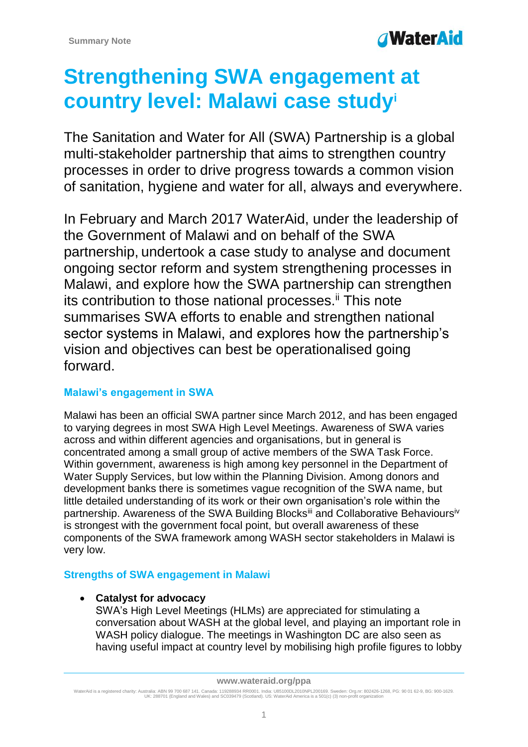# **Strengthening SWA engagement at country level: Malawi case study<sup>i</sup>**

The Sanitation and Water for All (SWA) Partnership is a global multi-stakeholder partnership that aims to strengthen country processes in order to drive progress towards a common vision of sanitation, hygiene and water for all, always and everywhere.

In February and March 2017 WaterAid, under the leadership of the Government of Malawi and on behalf of the SWA partnership, undertook a case study to analyse and document ongoing sector reform and system strengthening processes in Malawi, and explore how the SWA partnership can strengthen its contribution to those national processes.<sup>ii</sup> This note summarises SWA efforts to enable and strengthen national sector systems in Malawi, and explores how the partnership's vision and objectives can best be operationalised going forward.

## **Malawi's engagement in SWA**

Malawi has been an official SWA partner since March 2012, and has been engaged to varying degrees in most SWA High Level Meetings. Awareness of SWA varies across and within different agencies and organisations, but in general is concentrated among a small group of active members of the SWA Task Force. Within government, awareness is high among key personnel in the Department of Water Supply Services, but low within the Planning Division. Among donors and development banks there is sometimes vague recognition of the SWA name, but little detailed understanding of its work or their own organisation's role within the partnership. Awareness of the SWA Building Blocks<sup>iii</sup> and Collaborative Behavioursiv is strongest with the government focal point, but overall awareness of these components of the SWA framework among WASH sector stakeholders in Malawi is very low.

## **Strengths of SWA engagement in Malawi**

## **Catalyst for advocacy**

SWA's High Level Meetings (HLMs) are appreciated for stimulating a conversation about WASH at the global level, and playing an important role in WASH policy dialogue. The meetings in Washington DC are also seen as having useful impact at country level by mobilising high profile figures to lobby

**www.wateraid.org/ppa**

WaterAid is a registered charity: Australia: ABN 99 700 687 141. Canada: 119288934 RR0001. India: U85100DL2010NPL200169. Sweden: Org.nr: 802426-1268, PG: 90 01 62-9, BG: 900-1629.<br>UK: 288701 (England and Wales) and SC0394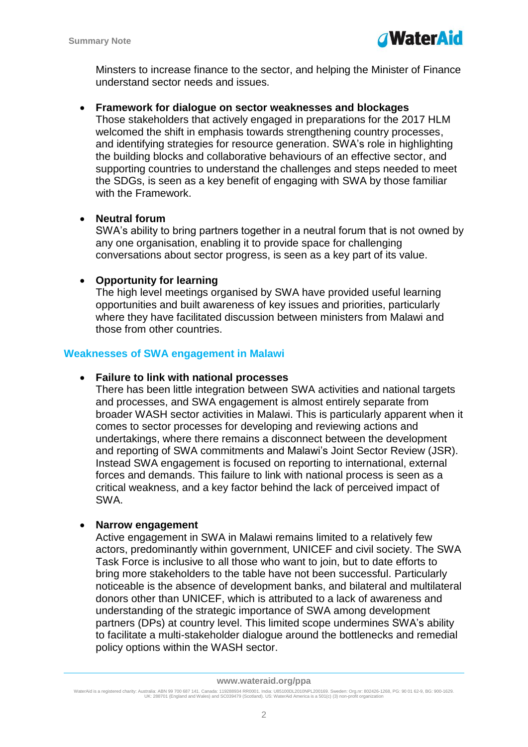Minsters to increase finance to the sector, and helping the Minister of Finance understand sector needs and issues.

## **Framework for dialogue on sector weaknesses and blockages**

Those stakeholders that actively engaged in preparations for the 2017 HLM welcomed the shift in emphasis towards strengthening country processes, and identifying strategies for resource generation. SWA's role in highlighting the building blocks and collaborative behaviours of an effective sector, and supporting countries to understand the challenges and steps needed to meet the SDGs, is seen as a key benefit of engaging with SWA by those familiar with the Framework.

## **Neutral forum**

SWA's ability to bring partners together in a neutral forum that is not owned by any one organisation, enabling it to provide space for challenging conversations about sector progress, is seen as a key part of its value.

## **Opportunity for learning**

The high level meetings organised by SWA have provided useful learning opportunities and built awareness of key issues and priorities, particularly where they have facilitated discussion between ministers from Malawi and those from other countries.

## **Weaknesses of SWA engagement in Malawi**

## **Failure to link with national processes**

There has been little integration between SWA activities and national targets and processes, and SWA engagement is almost entirely separate from broader WASH sector activities in Malawi. This is particularly apparent when it comes to sector processes for developing and reviewing actions and undertakings, where there remains a disconnect between the development and reporting of SWA commitments and Malawi's Joint Sector Review (JSR). Instead SWA engagement is focused on reporting to international, external forces and demands. This failure to link with national process is seen as a critical weakness, and a key factor behind the lack of perceived impact of SWA.

## **Narrow engagement**

Active engagement in SWA in Malawi remains limited to a relatively few actors, predominantly within government, UNICEF and civil society. The SWA Task Force is inclusive to all those who want to join, but to date efforts to bring more stakeholders to the table have not been successful. Particularly noticeable is the absence of development banks, and bilateral and multilateral donors other than UNICEF, which is attributed to a lack of awareness and understanding of the strategic importance of SWA among development partners (DPs) at country level. This limited scope undermines SWA's ability to facilitate a multi-stakeholder dialogue around the bottlenecks and remedial policy options within the WASH sector.

WaterAid is a registered charity: Australia: ABN 99 700 687 141. Canada: 119288934 RR0001. India: U85100DL2010NPL200169. Sweden: Org.nr: 802426-1268, PG: 90 01 62-9, BG: 900-1629.<br>UK: 288701 (England and Wales) and SC0394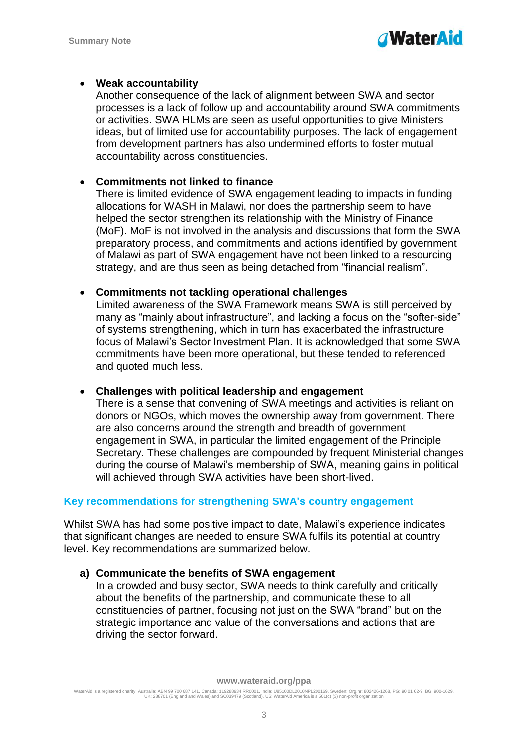

## **Weak accountability**

Another consequence of the lack of alignment between SWA and sector processes is a lack of follow up and accountability around SWA commitments or activities. SWA HLMs are seen as useful opportunities to give Ministers ideas, but of limited use for accountability purposes. The lack of engagement from development partners has also undermined efforts to foster mutual accountability across constituencies.

## **Commitments not linked to finance**

There is limited evidence of SWA engagement leading to impacts in funding allocations for WASH in Malawi, nor does the partnership seem to have helped the sector strengthen its relationship with the Ministry of Finance (MoF). MoF is not involved in the analysis and discussions that form the SWA preparatory process, and commitments and actions identified by government of Malawi as part of SWA engagement have not been linked to a resourcing strategy, and are thus seen as being detached from "financial realism".

## **Commitments not tackling operational challenges**

Limited awareness of the SWA Framework means SWA is still perceived by many as "mainly about infrastructure", and lacking a focus on the "softer-side" of systems strengthening, which in turn has exacerbated the infrastructure focus of Malawi's Sector Investment Plan. It is acknowledged that some SWA commitments have been more operational, but these tended to referenced and quoted much less.

## **Challenges with political leadership and engagement**

There is a sense that convening of SWA meetings and activities is reliant on donors or NGOs, which moves the ownership away from government. There are also concerns around the strength and breadth of government engagement in SWA, in particular the limited engagement of the Principle Secretary. These challenges are compounded by frequent Ministerial changes during the course of Malawi's membership of SWA, meaning gains in political will achieved through SWA activities have been short-lived.

## **Key recommendations for strengthening SWA's country engagement**

Whilst SWA has had some positive impact to date, Malawi's experience indicates that significant changes are needed to ensure SWA fulfils its potential at country level. Key recommendations are summarized below.

## **a) Communicate the benefits of SWA engagement**

In a crowded and busy sector, SWA needs to think carefully and critically about the benefits of the partnership, and communicate these to all constituencies of partner, focusing not just on the SWA "brand" but on the strategic importance and value of the conversations and actions that are driving the sector forward.

WaterAid is a registered charity: Australia: ABN 99 700 687 141. Canada: 119288934 RR0001. India: U85100DL2010NPL200169. Sweden: Org.nr: 802426-1268, PG: 90 01 62-9, BG: 900-1629.<br>UK: 288701 (England and Wales) and SC0394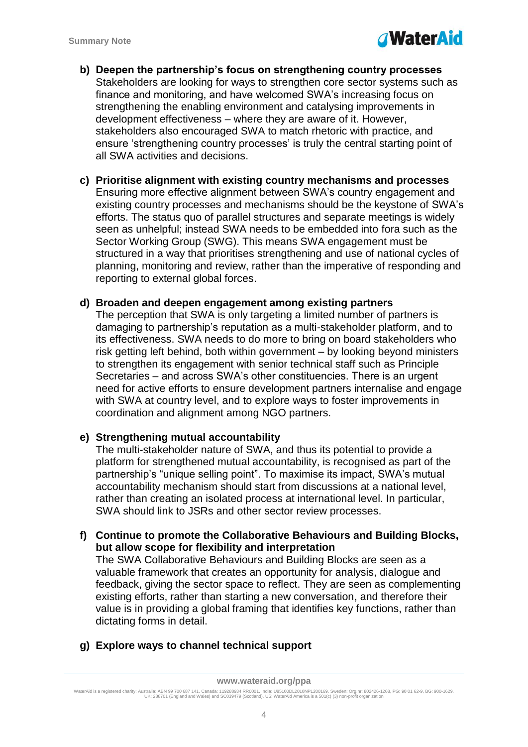

- **b) Deepen the partnership's focus on strengthening country processes**  Stakeholders are looking for ways to strengthen core sector systems such as finance and monitoring, and have welcomed SWA's increasing focus on strengthening the enabling environment and catalysing improvements in development effectiveness – where they are aware of it. However, stakeholders also encouraged SWA to match rhetoric with practice, and ensure 'strengthening country processes' is truly the central starting point of all SWA activities and decisions.
- **c) Prioritise alignment with existing country mechanisms and processes** Ensuring more effective alignment between SWA's country engagement and existing country processes and mechanisms should be the keystone of SWA's efforts. The status quo of parallel structures and separate meetings is widely seen as unhelpful; instead SWA needs to be embedded into fora such as the Sector Working Group (SWG). This means SWA engagement must be structured in a way that prioritises strengthening and use of national cycles of planning, monitoring and review, rather than the imperative of responding and reporting to external global forces.

#### **d) Broaden and deepen engagement among existing partners**

The perception that SWA is only targeting a limited number of partners is damaging to partnership's reputation as a multi-stakeholder platform, and to its effectiveness. SWA needs to do more to bring on board stakeholders who risk getting left behind, both within government – by looking beyond ministers to strengthen its engagement with senior technical staff such as Principle Secretaries – and across SWA's other constituencies. There is an urgent need for active efforts to ensure development partners internalise and engage with SWA at country level, and to explore ways to foster improvements in coordination and alignment among NGO partners.

#### **e) Strengthening mutual accountability**

The multi-stakeholder nature of SWA, and thus its potential to provide a platform for strengthened mutual accountability, is recognised as part of the partnership's "unique selling point". To maximise its impact, SWA's mutual accountability mechanism should start from discussions at a national level, rather than creating an isolated process at international level. In particular, SWA should link to JSRs and other sector review processes.

**f) Continue to promote the Collaborative Behaviours and Building Blocks, but allow scope for flexibility and interpretation**

The SWA Collaborative Behaviours and Building Blocks are seen as a valuable framework that creates an opportunity for analysis, dialogue and feedback, giving the sector space to reflect. They are seen as complementing existing efforts, rather than starting a new conversation, and therefore their value is in providing a global framing that identifies key functions, rather than dictating forms in detail.

**g) Explore ways to channel technical support**

WaterAid is a registered charity: Australia: ABN 99 700 687 141. Canada: 119288934 RR0001. India: U85100DL2010NPL200169. Sweden: Org.nr: 802426-1268, PG: 90 01 62-9, BG: 900-1629.<br>UK: 288701 (England and Wales) and SC0394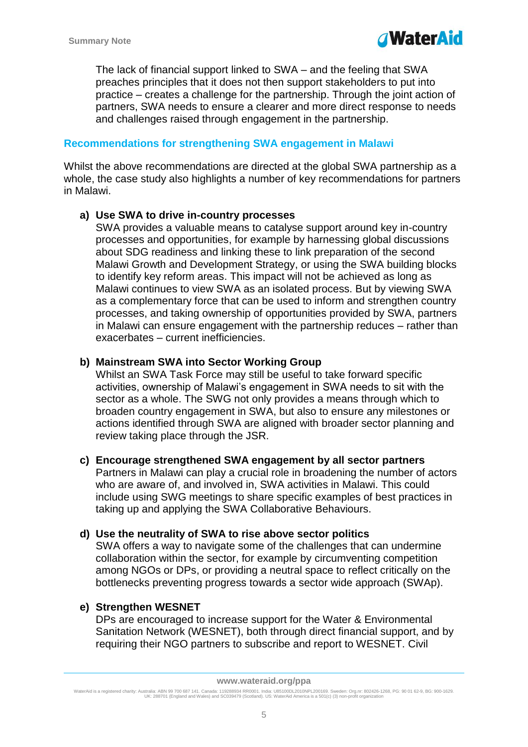The lack of financial support linked to SWA – and the feeling that SWA preaches principles that it does not then support stakeholders to put into practice – creates a challenge for the partnership. Through the joint action of partners, SWA needs to ensure a clearer and more direct response to needs and challenges raised through engagement in the partnership.

## **Recommendations for strengthening SWA engagement in Malawi**

Whilst the above recommendations are directed at the global SWA partnership as a whole, the case study also highlights a number of key recommendations for partners in Malawi.

### **a) Use SWA to drive in-country processes**

SWA provides a valuable means to catalyse support around key in-country processes and opportunities, for example by harnessing global discussions about SDG readiness and linking these to link preparation of the second Malawi Growth and Development Strategy, or using the SWA building blocks to identify key reform areas. This impact will not be achieved as long as Malawi continues to view SWA as an isolated process. But by viewing SWA as a complementary force that can be used to inform and strengthen country processes, and taking ownership of opportunities provided by SWA, partners in Malawi can ensure engagement with the partnership reduces – rather than exacerbates – current inefficiencies.

### **b) Mainstream SWA into Sector Working Group**

Whilst an SWA Task Force may still be useful to take forward specific activities, ownership of Malawi's engagement in SWA needs to sit with the sector as a whole. The SWG not only provides a means through which to broaden country engagement in SWA, but also to ensure any milestones or actions identified through SWA are aligned with broader sector planning and review taking place through the JSR.

#### **c) Encourage strengthened SWA engagement by all sector partners**

Partners in Malawi can play a crucial role in broadening the number of actors who are aware of, and involved in, SWA activities in Malawi. This could include using SWG meetings to share specific examples of best practices in taking up and applying the SWA Collaborative Behaviours.

## **d) Use the neutrality of SWA to rise above sector politics**

SWA offers a way to navigate some of the challenges that can undermine collaboration within the sector, for example by circumventing competition among NGOs or DPs, or providing a neutral space to reflect critically on the bottlenecks preventing progress towards a sector wide approach (SWAp).

## **e) Strengthen WESNET**

DPs are encouraged to increase support for the Water & Environmental Sanitation Network (WESNET), both through direct financial support, and by requiring their NGO partners to subscribe and report to WESNET. Civil

**www.wateraid.org/ppa**

WaterAid is a registered charity: Australia: ABN 99 700 687 141. Canada: 119288934 RR0001. India: U85100DL2010NPL200169. Sweden: Org.nr: 802426-1268, PG: 90 01 62-9, BG: 900-1629.<br>UK: 288701 (England and Wales) and SC0394